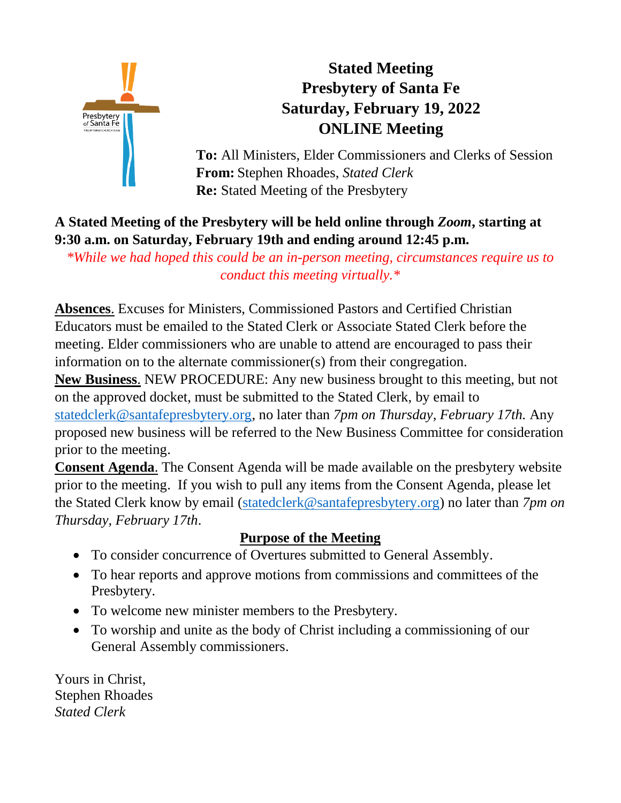

# **Stated Meeting Presbytery of Santa Fe Saturday, February 19, 2022 ONLINE Meeting**

**To:** All Ministers, Elder Commissioners and Clerks of Session **From:** Stephen Rhoades, *Stated Clerk* **Re:** Stated Meeting of the Presbytery

## **A Stated Meeting of the Presbytery will be held online through** *Zoom***, starting at 9:30 a.m. on Saturday, February 19th and ending around 12:45 p.m.**

*\*While we had hoped this could be an in-person meeting, circumstances require us to conduct this meeting virtually.\**

**Absences**. Excuses for Ministers, Commissioned Pastors and Certified Christian Educators must be emailed to the Stated Clerk or Associate Stated Clerk before the meeting. Elder commissioners who are unable to attend are encouraged to pass their information on to the alternate commissioner(s) from their congregation.

**New Business**. NEW PROCEDURE: Any new business brought to this meeting, but not on the approved docket, must be submitted to the Stated Clerk, by email to [statedclerk@santafepresbytery.org,](file:///C:/Users/TLoFinch.DESKTOP-IKDVHSN/Desktop/statedclerk@santafepresbytery.org) no later than *7pm on Thursday, February 17th.* Any proposed new business will be referred to the New Business Committee for consideration

prior to the meeting.

**Consent Agenda**. The Consent Agenda will be made available on the presbytery website prior to the meeting. If you wish to pull any items from the Consent Agenda, please let the Stated Clerk know by email [\(statedclerk@santafepresbytery.org\)](mailto:statedclerk@santafepresbytery.org) no later than *7pm on Thursday, February 17th*.

## **Purpose of the Meeting**

- To consider concurrence of Overtures submitted to General Assembly.
- To hear reports and approve motions from commissions and committees of the Presbytery.
- To welcome new minister members to the Presbytery.
- To worship and unite as the body of Christ including a commissioning of our General Assembly commissioners.

Yours in Christ, Stephen Rhoades *Stated Clerk*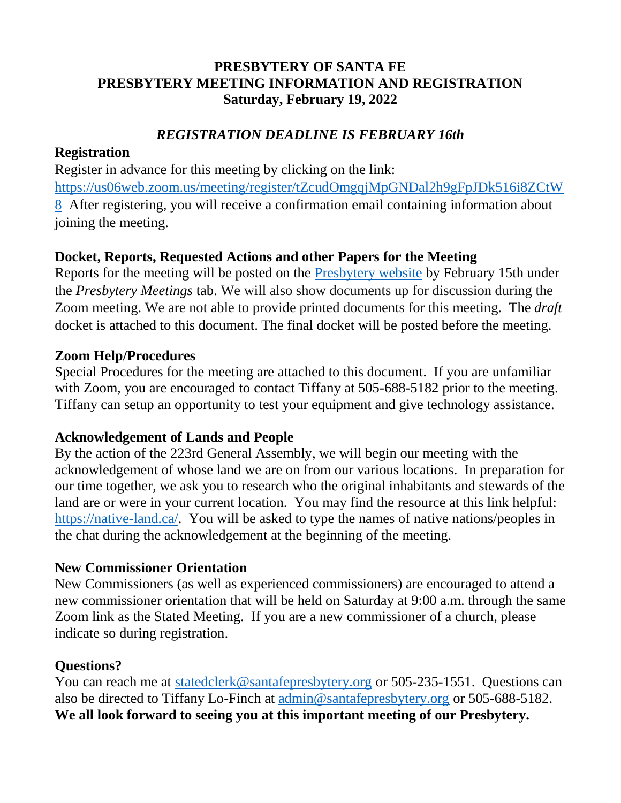## **PRESBYTERY OF SANTA FE PRESBYTERY MEETING INFORMATION AND REGISTRATION Saturday, February 19, 2022**

## *REGISTRATION DEADLINE IS FEBRUARY 16th*

#### **Registration**

Register in advance for this meeting by clicking on the link: [https://us06web.zoom.us/meeting/register/tZcudOmgqjMpGNDal2h9gFpJDk516i8ZCtW](https://us06web.zoom.us/meeting/register/tZcudOmgqjMpGNDal2h9gFpJDk516i8ZCtW8) [8](https://us06web.zoom.us/meeting/register/tZcudOmgqjMpGNDal2h9gFpJDk516i8ZCtW8) After registering, you will receive a confirmation email containing information about joining the meeting.

### **Docket, Reports, Requested Actions and other Papers for the Meeting**

Reports for the meeting will be posted on the [Presbytery website](https://santafepresbytery.org/) by February 15th under the *Presbytery Meetings* tab. We will also show documents up for discussion during the Zoom meeting. We are not able to provide printed documents for this meeting. The *draft* docket is attached to this document. The final docket will be posted before the meeting.

#### **Zoom Help/Procedures**

Special Procedures for the meeting are attached to this document. If you are unfamiliar with Zoom, you are encouraged to contact Tiffany at 505-688-5182 prior to the meeting. Tiffany can setup an opportunity to test your equipment and give technology assistance.

#### **Acknowledgement of Lands and People**

By the action of the 223rd General Assembly, we will begin our meeting with the acknowledgement of whose land we are on from our various locations. In preparation for our time together, we ask you to research who the original inhabitants and stewards of the land are or were in your current location. You may find the resource at this link helpful: [https://native-land.ca/.](https://native-land.ca/) You will be asked to type the names of native nations/peoples in the chat during the acknowledgement at the beginning of the meeting.

#### **New Commissioner Orientation**

New Commissioners (as well as experienced commissioners) are encouraged to attend a new commissioner orientation that will be held on Saturday at 9:00 a.m. through the same Zoom link as the Stated Meeting. If you are a new commissioner of a church, please indicate so during registration.

#### **Questions?**

You can reach me at [statedclerk@santafepresbytery.org](mailto:statedclerk@santafepresbytery.org) or 505-235-1551. Questions can also be directed to Tiffany Lo-Finch at [admin@santafepresbytery.org](mailto:admin@santafepresbytery.org) or 505-688-5182. **We all look forward to seeing you at this important meeting of our Presbytery.**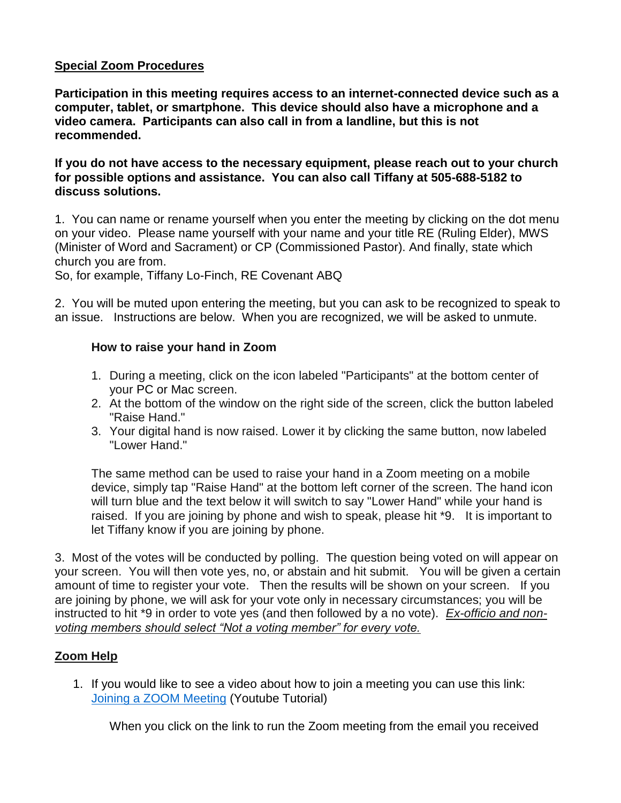#### **Special Zoom Procedures**

**Participation in this meeting requires access to an internet-connected device such as a computer, tablet, or smartphone. This device should also have a microphone and a video camera. Participants can also call in from a landline, but this is not recommended.** 

**If you do not have access to the necessary equipment, please reach out to your church for possible options and assistance. You can also call Tiffany at 505-688-5182 to discuss solutions.**

1. You can name or rename yourself when you enter the meeting by clicking on the dot menu on your video. Please name yourself with your name and your title RE (Ruling Elder), MWS (Minister of Word and Sacrament) or CP (Commissioned Pastor). And finally, state which church you are from.

So, for example, Tiffany Lo-Finch, RE Covenant ABQ

2. You will be muted upon entering the meeting, but you can ask to be recognized to speak to an issue. Instructions are below. When you are recognized, we will be asked to unmute.

#### **How to raise your hand in Zoom**

- 1. During a meeting, click on the icon labeled "Participants" at the bottom center of your [PC](https://bestbuy.7tiv.net/c/196318/614286/10014?u=https%3A%2F%2Fwww.bestbuy.com%2Fsite%2Flenovo-ideapad-130-15-6-laptop-amd-a9-series-4gb-memory-amd-radeon-r5-128gb-solid-state-drive-black%2F6323661.p%3FskuId%3D6323661&subid2=1591805478505agryasp8i&subId3=xid:fr1591805483230ajc) or [Mac](https://bestbuy.7tiv.net/c/196318/614286/10014?u=https%3A%2F%2Fwww.bestbuy.com%2Fsite%2Fapple-macbook-pro-13-display-with-touch-bar-intel-core-i5-8gb-memory-128gb-ssd-latest-model-space-gray%2F5998700.p%3FskuId%3D5998700&subid2=1591805478505a91uhfifx&subId3=xid:fr1591805483230feg) screen.
- 2. At the bottom of the window on the right side of the screen, click the button labeled "Raise Hand."
- 3. Your digital hand is now raised. Lower it by clicking the same button, now labeled "Lower Hand."

The same method can be used to raise your hand in a Zoom meeting on a mobile device, simply tap "Raise Hand" at the bottom left corner of the screen. The hand icon will turn blue and the text below it will switch to say "Lower Hand" while your hand is raised. If you are joining by phone and wish to speak, please hit \*9. It is important to let Tiffany know if you are joining by phone.

3. Most of the votes will be conducted by polling. The question being voted on will appear on your screen. You will then vote yes, no, or abstain and hit submit. You will be given a certain amount of time to register your vote. Then the results will be shown on your screen. If you are joining by phone, we will ask for your vote only in necessary circumstances; you will be instructed to hit \*9 in order to vote yes (and then followed by a no vote). *Ex-officio and nonvoting members should select "Not a voting member" for every vote.*

#### **Zoom Help**

1. If you would like to see a video about how to join a meeting you can use this link: [Joining a ZOOM Meeting](https://www.youtube.com/watch?v=vFhAEoCF7jg&feature=youtu.be&fbclid=IwAR0-PXA__7g_NxgKLmYY5Cf1X2F25GRfrMFPSzo2v2RbYjPTuO4Kb3n9Gvs) (Youtube Tutorial)

When you click on the link to run the Zoom meeting from the email you received